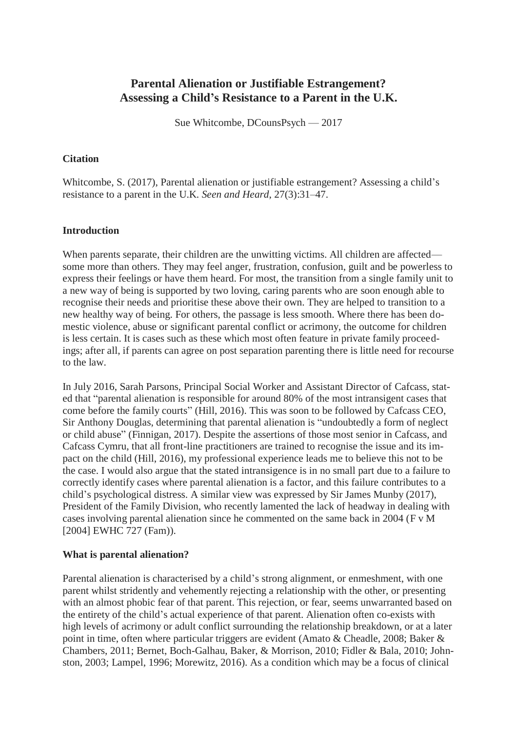# **Parental Alienation or Justifiable Estrangement? Assessing a Child's Resistance to a Parent in the U.K.**

Sue Whitcombe, DCounsPsych — 2017

### **Citation**

Whitcombe, S. (2017), Parental alienation or justifiable estrangement? Assessing a child's resistance to a parent in the U.K. *Seen and Heard*, 27(3):31–47.

# **Introduction**

When parents separate, their children are the unwitting victims. All children are affected some more than others. They may feel anger, frustration, confusion, guilt and be powerless to express their feelings or have them heard. For most, the transition from a single family unit to a new way of being is supported by two loving, caring parents who are soon enough able to recognise their needs and prioritise these above their own. They are helped to transition to a new healthy way of being. For others, the passage is less smooth. Where there has been domestic violence, abuse or significant parental conflict or acrimony, the outcome for children is less certain. It is cases such as these which most often feature in private family proceedings; after all, if parents can agree on post separation parenting there is little need for recourse to the law.

In July 2016, Sarah Parsons, Principal Social Worker and Assistant Director of Cafcass, stated that "parental alienation is responsible for around 80% of the most intransigent cases that come before the family courts" (Hill, 2016). This was soon to be followed by Cafcass CEO, Sir Anthony Douglas, determining that parental alienation is "undoubtedly a form of neglect or child abuse" (Finnigan, 2017). Despite the assertions of those most senior in Cafcass, and Cafcass Cymru, that all front-line practitioners are trained to recognise the issue and its impact on the child (Hill, 2016), my professional experience leads me to believe this not to be the case. I would also argue that the stated intransigence is in no small part due to a failure to correctly identify cases where parental alienation is a factor, and this failure contributes to a child's psychological distress. A similar view was expressed by Sir James Munby (2017), President of the Family Division, who recently lamented the lack of headway in dealing with cases involving parental alienation since he commented on the same back in 2004 (F v M [2004] EWHC 727 (Fam)).

### **What is parental alienation?**

Parental alienation is characterised by a child's strong alignment, or enmeshment, with one parent whilst stridently and vehemently rejecting a relationship with the other, or presenting with an almost phobic fear of that parent. This rejection, or fear, seems unwarranted based on the entirety of the child's actual experience of that parent. Alienation often co-exists with high levels of acrimony or adult conflict surrounding the relationship breakdown, or at a later point in time, often where particular triggers are evident (Amato & Cheadle, 2008; Baker & Chambers, 2011; Bernet, Boch-Galhau, Baker, & Morrison, 2010; Fidler & Bala, 2010; Johnston, 2003; Lampel, 1996; Morewitz, 2016). As a condition which may be a focus of clinical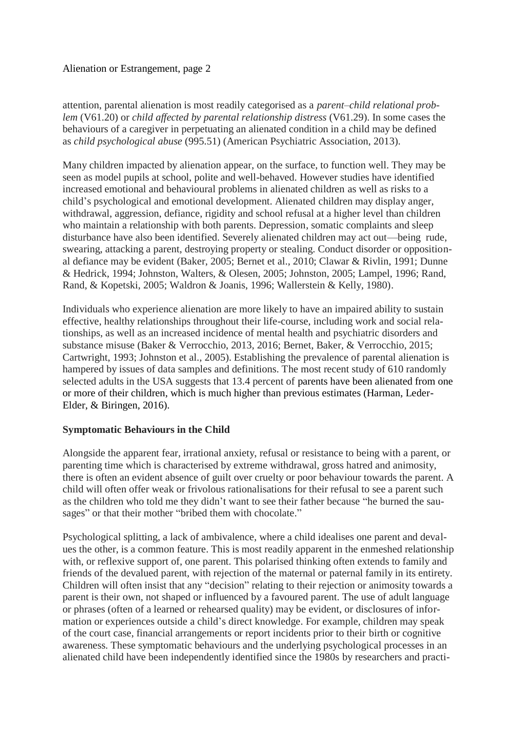attention, parental alienation is most readily categorised as a *parent–child relational problem* (V61.20) or *child affected by parental relationship distress* (V61.29). In some cases the behaviours of a caregiver in perpetuating an alienated condition in a child may be defined as *child psychological abuse* (995.51) (American Psychiatric Association, 2013).

Many children impacted by alienation appear, on the surface, to function well. They may be seen as model pupils at school, polite and well-behaved. However studies have identified increased emotional and behavioural problems in alienated children as well as risks to a child's psychological and emotional development. Alienated children may display anger, withdrawal, aggression, defiance, rigidity and school refusal at a higher level than children who maintain a relationship with both parents. Depression, somatic complaints and sleep disturbance have also been identified. Severely alienated children may act out—being rude, swearing, attacking a parent, destroying property or stealing. Conduct disorder or oppositional defiance may be evident (Baker, 2005; Bernet et al., 2010; Clawar & Rivlin, 1991; Dunne & Hedrick, 1994; Johnston, Walters, & Olesen, 2005; Johnston, 2005; Lampel, 1996; Rand, Rand, & Kopetski, 2005; Waldron & Joanis, 1996; Wallerstein & Kelly, 1980).

Individuals who experience alienation are more likely to have an impaired ability to sustain effective, healthy relationships throughout their life-course, including work and social relationships, as well as an increased incidence of mental health and psychiatric disorders and substance misuse (Baker & Verrocchio, 2013, 2016; Bernet, Baker, & Verrocchio, 2015; Cartwright, 1993; Johnston et al., 2005). Establishing the prevalence of parental alienation is hampered by issues of data samples and definitions. The most recent study of 610 randomly selected adults in the USA suggests that 13.4 percent of parents have been alienated from one or more of their children, which is much higher than previous estimates (Harman, Leder-Elder, & Biringen, 2016).

### **Symptomatic Behaviours in the Child**

Alongside the apparent fear, irrational anxiety, refusal or resistance to being with a parent, or parenting time which is characterised by extreme withdrawal, gross hatred and animosity, there is often an evident absence of guilt over cruelty or poor behaviour towards the parent. A child will often offer weak or frivolous rationalisations for their refusal to see a parent such as the children who told me they didn't want to see their father because "he burned the sausages" or that their mother "bribed them with chocolate."

Psychological splitting, a lack of ambivalence, where a child idealises one parent and devalues the other, is a common feature. This is most readily apparent in the enmeshed relationship with, or reflexive support of, one parent. This polarised thinking often extends to family and friends of the devalued parent, with rejection of the maternal or paternal family in its entirety. Children will often insist that any "decision" relating to their rejection or animosity towards a parent is their own, not shaped or influenced by a favoured parent. The use of adult language or phrases (often of a learned or rehearsed quality) may be evident, or disclosures of information or experiences outside a child's direct knowledge. For example, children may speak of the court case, financial arrangements or report incidents prior to their birth or cognitive awareness. These symptomatic behaviours and the underlying psychological processes in an alienated child have been independently identified since the 1980s by researchers and practi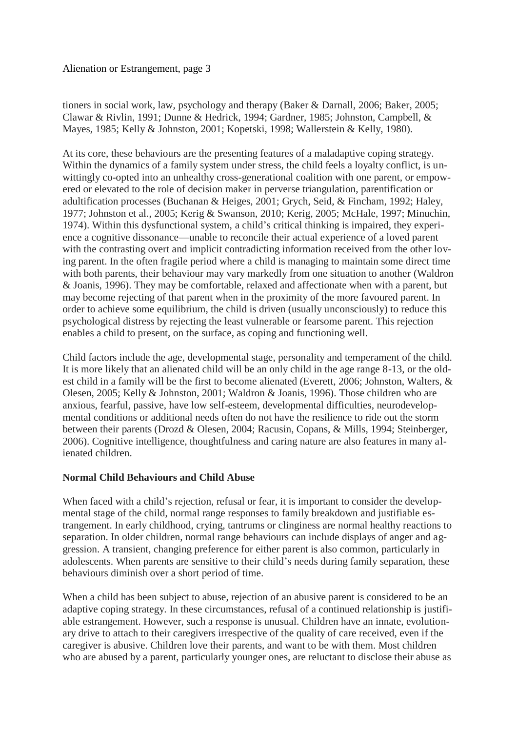tioners in social work, law, psychology and therapy (Baker & Darnall, 2006; Baker, 2005; Clawar & Rivlin, 1991; Dunne & Hedrick, 1994; Gardner, 1985; Johnston, Campbell, & Mayes, 1985; Kelly & Johnston, 2001; Kopetski, 1998; Wallerstein & Kelly, 1980).

At its core, these behaviours are the presenting features of a maladaptive coping strategy. Within the dynamics of a family system under stress, the child feels a loyalty conflict, is unwittingly co-opted into an unhealthy cross-generational coalition with one parent, or empowered or elevated to the role of decision maker in perverse triangulation, parentification or adultification processes (Buchanan & Heiges, 2001; Grych, Seid, & Fincham, 1992; Haley, 1977; Johnston et al., 2005; Kerig & Swanson, 2010; Kerig, 2005; McHale, 1997; Minuchin, 1974). Within this dysfunctional system, a child's critical thinking is impaired, they experience a cognitive dissonance—unable to reconcile their actual experience of a loved parent with the contrasting overt and implicit contradicting information received from the other loving parent. In the often fragile period where a child is managing to maintain some direct time with both parents, their behaviour may vary markedly from one situation to another (Waldron & Joanis, 1996). They may be comfortable, relaxed and affectionate when with a parent, but may become rejecting of that parent when in the proximity of the more favoured parent. In order to achieve some equilibrium, the child is driven (usually unconsciously) to reduce this psychological distress by rejecting the least vulnerable or fearsome parent. This rejection enables a child to present, on the surface, as coping and functioning well.

Child factors include the age, developmental stage, personality and temperament of the child. It is more likely that an alienated child will be an only child in the age range 8-13, or the oldest child in a family will be the first to become alienated (Everett, 2006; Johnston, Walters, & Olesen, 2005; Kelly & Johnston, 2001; Waldron & Joanis, 1996). Those children who are anxious, fearful, passive, have low self-esteem, developmental difficulties, neurodevelopmental conditions or additional needs often do not have the resilience to ride out the storm between their parents (Drozd & Olesen, 2004; Racusin, Copans, & Mills, 1994; Steinberger, 2006). Cognitive intelligence, thoughtfulness and caring nature are also features in many alienated children.

# **Normal Child Behaviours and Child Abuse**

When faced with a child's rejection, refusal or fear, it is important to consider the developmental stage of the child, normal range responses to family breakdown and justifiable estrangement. In early childhood, crying, tantrums or clinginess are normal healthy reactions to separation. In older children, normal range behaviours can include displays of anger and aggression. A transient, changing preference for either parent is also common, particularly in adolescents. When parents are sensitive to their child's needs during family separation, these behaviours diminish over a short period of time.

When a child has been subject to abuse, rejection of an abusive parent is considered to be an adaptive coping strategy. In these circumstances, refusal of a continued relationship is justifiable estrangement. However, such a response is unusual. Children have an innate, evolutionary drive to attach to their caregivers irrespective of the quality of care received, even if the caregiver is abusive. Children love their parents, and want to be with them. Most children who are abused by a parent, particularly younger ones, are reluctant to disclose their abuse as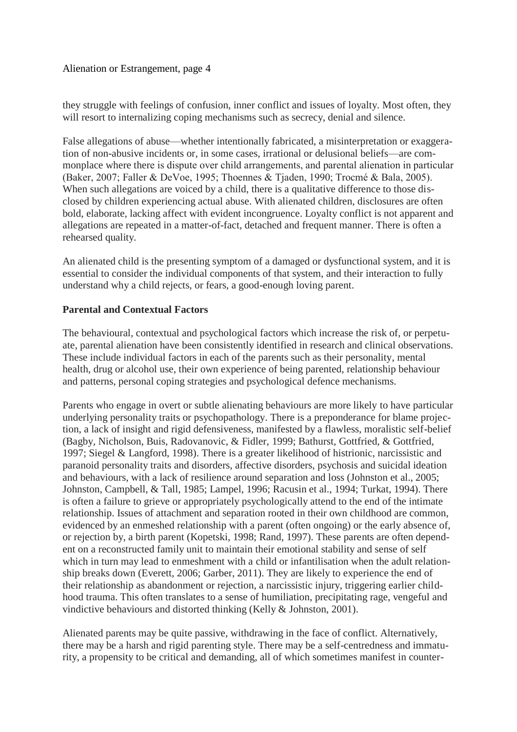they struggle with feelings of confusion, inner conflict and issues of loyalty. Most often, they will resort to internalizing coping mechanisms such as secrecy, denial and silence.

False allegations of abuse—whether intentionally fabricated, a misinterpretation or exaggeration of non-abusive incidents or, in some cases, irrational or delusional beliefs—are commonplace where there is dispute over child arrangements, and parental alienation in particular (Baker, 2007; Faller & DeVoe, 1995; Thoennes & Tjaden, 1990; Trocmé & Bala, 2005). When such allegations are voiced by a child, there is a qualitative difference to those disclosed by children experiencing actual abuse. With alienated children, disclosures are often bold, elaborate, lacking affect with evident incongruence. Loyalty conflict is not apparent and allegations are repeated in a matter-of-fact, detached and frequent manner. There is often a rehearsed quality.

An alienated child is the presenting symptom of a damaged or dysfunctional system, and it is essential to consider the individual components of that system, and their interaction to fully understand why a child rejects, or fears, a good-enough loving parent.

### **Parental and Contextual Factors**

The behavioural, contextual and psychological factors which increase the risk of, or perpetuate, parental alienation have been consistently identified in research and clinical observations. These include individual factors in each of the parents such as their personality, mental health, drug or alcohol use, their own experience of being parented, relationship behaviour and patterns, personal coping strategies and psychological defence mechanisms.

Parents who engage in overt or subtle alienating behaviours are more likely to have particular underlying personality traits or psychopathology. There is a preponderance for blame projection, a lack of insight and rigid defensiveness, manifested by a flawless, moralistic self-belief (Bagby, Nicholson, Buis, Radovanovic, & Fidler, 1999; Bathurst, Gottfried, & Gottfried, 1997; Siegel & Langford, 1998). There is a greater likelihood of histrionic, narcissistic and paranoid personality traits and disorders, affective disorders, psychosis and suicidal ideation and behaviours, with a lack of resilience around separation and loss (Johnston et al., 2005; Johnston, Campbell, & Tall, 1985; Lampel, 1996; Racusin et al., 1994; Turkat, 1994). There is often a failure to grieve or appropriately psychologically attend to the end of the intimate relationship. Issues of attachment and separation rooted in their own childhood are common, evidenced by an enmeshed relationship with a parent (often ongoing) or the early absence of, or rejection by, a birth parent (Kopetski, 1998; Rand, 1997). These parents are often dependent on a reconstructed family unit to maintain their emotional stability and sense of self which in turn may lead to enmeshment with a child or infantilisation when the adult relationship breaks down (Everett, 2006; Garber, 2011). They are likely to experience the end of their relationship as abandonment or rejection, a narcissistic injury, triggering earlier childhood trauma. This often translates to a sense of humiliation, precipitating rage, vengeful and vindictive behaviours and distorted thinking (Kelly & Johnston, 2001).

Alienated parents may be quite passive, withdrawing in the face of conflict. Alternatively, there may be a harsh and rigid parenting style. There may be a self-centredness and immaturity, a propensity to be critical and demanding, all of which sometimes manifest in counter-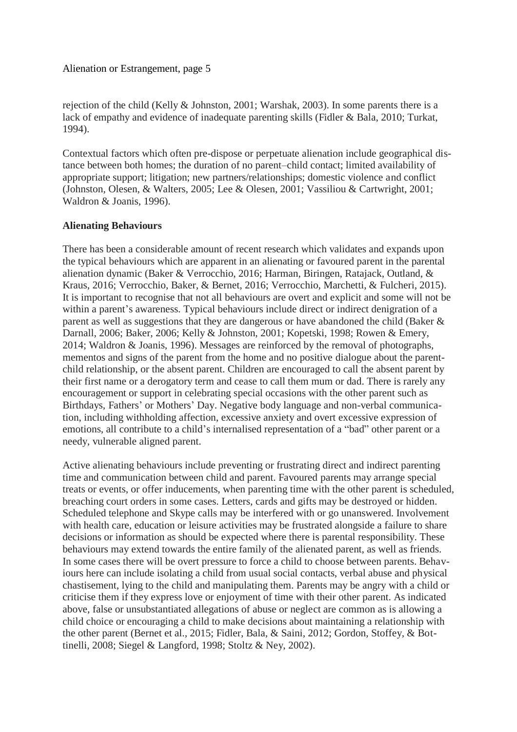rejection of the child (Kelly & Johnston, 2001; Warshak, 2003). In some parents there is a lack of empathy and evidence of inadequate parenting skills (Fidler & Bala, 2010; Turkat, 1994).

Contextual factors which often pre-dispose or perpetuate alienation include geographical distance between both homes; the duration of no parent–child contact; limited availability of appropriate support; litigation; new partners/relationships; domestic violence and conflict (Johnston, Olesen, & Walters, 2005; Lee & Olesen, 2001; Vassiliou & Cartwright, 2001; Waldron & Joanis, 1996).

#### **Alienating Behaviours**

There has been a considerable amount of recent research which validates and expands upon the typical behaviours which are apparent in an alienating or favoured parent in the parental alienation dynamic (Baker & Verrocchio, 2016; Harman, Biringen, Ratajack, Outland, & Kraus, 2016; Verrocchio, Baker, & Bernet, 2016; Verrocchio, Marchetti, & Fulcheri, 2015). It is important to recognise that not all behaviours are overt and explicit and some will not be within a parent's awareness. Typical behaviours include direct or indirect denigration of a parent as well as suggestions that they are dangerous or have abandoned the child (Baker & Darnall, 2006; Baker, 2006; Kelly & Johnston, 2001; Kopetski, 1998; Rowen & Emery, 2014; Waldron & Joanis, 1996). Messages are reinforced by the removal of photographs, mementos and signs of the parent from the home and no positive dialogue about the parentchild relationship, or the absent parent. Children are encouraged to call the absent parent by their first name or a derogatory term and cease to call them mum or dad. There is rarely any encouragement or support in celebrating special occasions with the other parent such as Birthdays, Fathers' or Mothers' Day. Negative body language and non-verbal communication, including withholding affection, excessive anxiety and overt excessive expression of emotions, all contribute to a child's internalised representation of a "bad" other parent or a needy, vulnerable aligned parent.

Active alienating behaviours include preventing or frustrating direct and indirect parenting time and communication between child and parent. Favoured parents may arrange special treats or events, or offer inducements, when parenting time with the other parent is scheduled, breaching court orders in some cases. Letters, cards and gifts may be destroyed or hidden. Scheduled telephone and Skype calls may be interfered with or go unanswered. Involvement with health care, education or leisure activities may be frustrated alongside a failure to share decisions or information as should be expected where there is parental responsibility. These behaviours may extend towards the entire family of the alienated parent, as well as friends. In some cases there will be overt pressure to force a child to choose between parents. Behaviours here can include isolating a child from usual social contacts, verbal abuse and physical chastisement, lying to the child and manipulating them. Parents may be angry with a child or criticise them if they express love or enjoyment of time with their other parent. As indicated above, false or unsubstantiated allegations of abuse or neglect are common as is allowing a child choice or encouraging a child to make decisions about maintaining a relationship with the other parent (Bernet et al., 2015; Fidler, Bala, & Saini, 2012; Gordon, Stoffey, & Bottinelli, 2008; Siegel & Langford, 1998; Stoltz & Ney, 2002).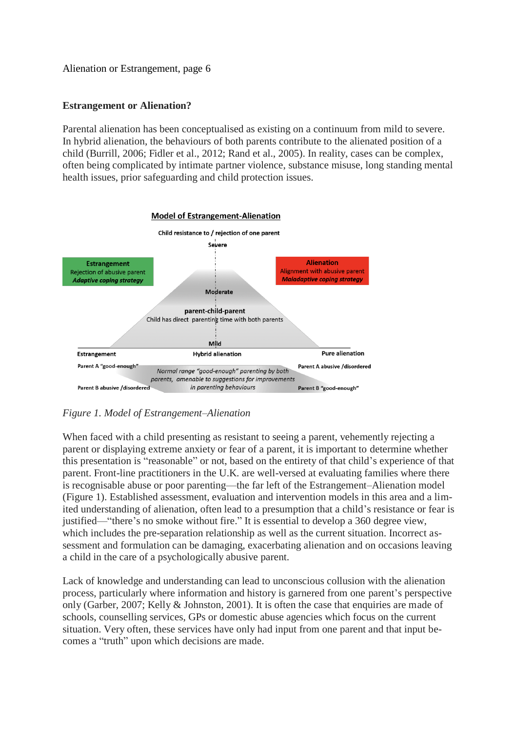### **Estrangement or Alienation?**

Parental alienation has been conceptualised as existing on a continuum from mild to severe. In hybrid alienation, the behaviours of both parents contribute to the alienated position of a child (Burrill, 2006; Fidler et al., 2012; Rand et al., 2005). In reality, cases can be complex, often being complicated by intimate partner violence, substance misuse, long standing mental health issues, prior safeguarding and child protection issues.



# *Figure 1. Model of Estrangement–Alienation*

When faced with a child presenting as resistant to seeing a parent, vehemently rejecting a parent or displaying extreme anxiety or fear of a parent, it is important to determine whether this presentation is "reasonable" or not, based on the entirety of that child's experience of that parent. Front-line practitioners in the U.K. are well-versed at evaluating families where there is recognisable abuse or poor parenting—the far left of the Estrangement–Alienation model (Figure 1). Established assessment, evaluation and intervention models in this area and a limited understanding of alienation, often lead to a presumption that a child's resistance or fear is justified—"there's no smoke without fire." It is essential to develop a 360 degree view, which includes the pre-separation relationship as well as the current situation. Incorrect assessment and formulation can be damaging, exacerbating alienation and on occasions leaving a child in the care of a psychologically abusive parent.

Lack of knowledge and understanding can lead to unconscious collusion with the alienation process, particularly where information and history is garnered from one parent's perspective only (Garber, 2007; Kelly & Johnston, 2001). It is often the case that enquiries are made of schools, counselling services, GPs or domestic abuse agencies which focus on the current situation. Very often, these services have only had input from one parent and that input becomes a "truth" upon which decisions are made.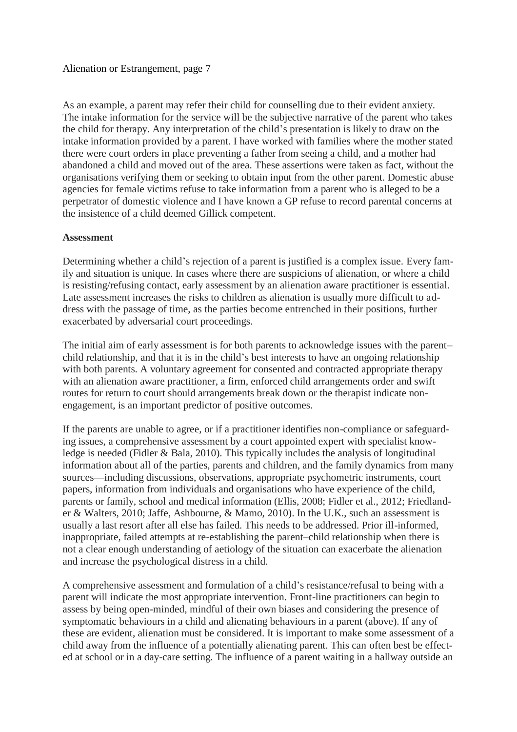As an example, a parent may refer their child for counselling due to their evident anxiety. The intake information for the service will be the subjective narrative of the parent who takes the child for therapy. Any interpretation of the child's presentation is likely to draw on the intake information provided by a parent. I have worked with families where the mother stated there were court orders in place preventing a father from seeing a child, and a mother had abandoned a child and moved out of the area. These assertions were taken as fact, without the organisations verifying them or seeking to obtain input from the other parent. Domestic abuse agencies for female victims refuse to take information from a parent who is alleged to be a perpetrator of domestic violence and I have known a GP refuse to record parental concerns at the insistence of a child deemed Gillick competent.

#### **Assessment**

Determining whether a child's rejection of a parent is justified is a complex issue. Every family and situation is unique. In cases where there are suspicions of alienation, or where a child is resisting/refusing contact, early assessment by an alienation aware practitioner is essential. Late assessment increases the risks to children as alienation is usually more difficult to address with the passage of time, as the parties become entrenched in their positions, further exacerbated by adversarial court proceedings.

The initial aim of early assessment is for both parents to acknowledge issues with the parent– child relationship, and that it is in the child's best interests to have an ongoing relationship with both parents. A voluntary agreement for consented and contracted appropriate therapy with an alienation aware practitioner, a firm, enforced child arrangements order and swift routes for return to court should arrangements break down or the therapist indicate nonengagement, is an important predictor of positive outcomes.

If the parents are unable to agree, or if a practitioner identifies non-compliance or safeguarding issues, a comprehensive assessment by a court appointed expert with specialist knowledge is needed (Fidler & Bala, 2010). This typically includes the analysis of longitudinal information about all of the parties, parents and children, and the family dynamics from many sources—including discussions, observations, appropriate psychometric instruments, court papers, information from individuals and organisations who have experience of the child, parents or family, school and medical information (Ellis, 2008; Fidler et al., 2012; Friedlander & Walters, 2010; Jaffe, Ashbourne, & Mamo, 2010). In the U.K., such an assessment is usually a last resort after all else has failed. This needs to be addressed. Prior ill-informed, inappropriate, failed attempts at re-establishing the parent–child relationship when there is not a clear enough understanding of aetiology of the situation can exacerbate the alienation and increase the psychological distress in a child.

A comprehensive assessment and formulation of a child's resistance/refusal to being with a parent will indicate the most appropriate intervention. Front-line practitioners can begin to assess by being open-minded, mindful of their own biases and considering the presence of symptomatic behaviours in a child and alienating behaviours in a parent (above). If any of these are evident, alienation must be considered. It is important to make some assessment of a child away from the influence of a potentially alienating parent. This can often best be effected at school or in a day-care setting. The influence of a parent waiting in a hallway outside an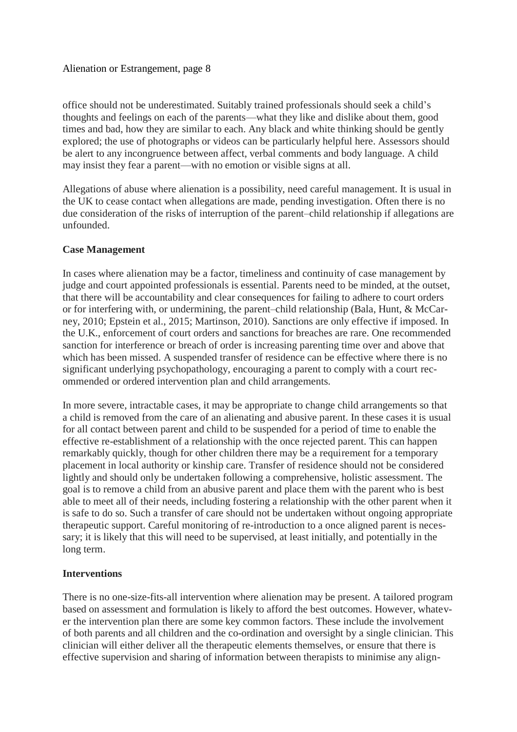office should not be underestimated. Suitably trained professionals should seek a child's thoughts and feelings on each of the parents—what they like and dislike about them, good times and bad, how they are similar to each. Any black and white thinking should be gently explored; the use of photographs or videos can be particularly helpful here. Assessors should be alert to any incongruence between affect, verbal comments and body language. A child may insist they fear a parent—with no emotion or visible signs at all.

Allegations of abuse where alienation is a possibility, need careful management. It is usual in the UK to cease contact when allegations are made, pending investigation. Often there is no due consideration of the risks of interruption of the parent–child relationship if allegations are unfounded.

#### **Case Management**

In cases where alienation may be a factor, timeliness and continuity of case management by judge and court appointed professionals is essential. Parents need to be minded, at the outset, that there will be accountability and clear consequences for failing to adhere to court orders or for interfering with, or undermining, the parent–child relationship (Bala, Hunt, & McCarney, 2010; Epstein et al., 2015; Martinson, 2010). Sanctions are only effective if imposed. In the U.K., enforcement of court orders and sanctions for breaches are rare. One recommended sanction for interference or breach of order is increasing parenting time over and above that which has been missed. A suspended transfer of residence can be effective where there is no significant underlying psychopathology, encouraging a parent to comply with a court recommended or ordered intervention plan and child arrangements.

In more severe, intractable cases, it may be appropriate to change child arrangements so that a child is removed from the care of an alienating and abusive parent. In these cases it is usual for all contact between parent and child to be suspended for a period of time to enable the effective re-establishment of a relationship with the once rejected parent. This can happen remarkably quickly, though for other children there may be a requirement for a temporary placement in local authority or kinship care. Transfer of residence should not be considered lightly and should only be undertaken following a comprehensive, holistic assessment. The goal is to remove a child from an abusive parent and place them with the parent who is best able to meet all of their needs, including fostering a relationship with the other parent when it is safe to do so. Such a transfer of care should not be undertaken without ongoing appropriate therapeutic support. Careful monitoring of re-introduction to a once aligned parent is necessary; it is likely that this will need to be supervised, at least initially, and potentially in the long term.

### **Interventions**

There is no one-size-fits-all intervention where alienation may be present. A tailored program based on assessment and formulation is likely to afford the best outcomes. However, whatever the intervention plan there are some key common factors. These include the involvement of both parents and all children and the co-ordination and oversight by a single clinician. This clinician will either deliver all the therapeutic elements themselves, or ensure that there is effective supervision and sharing of information between therapists to minimise any align-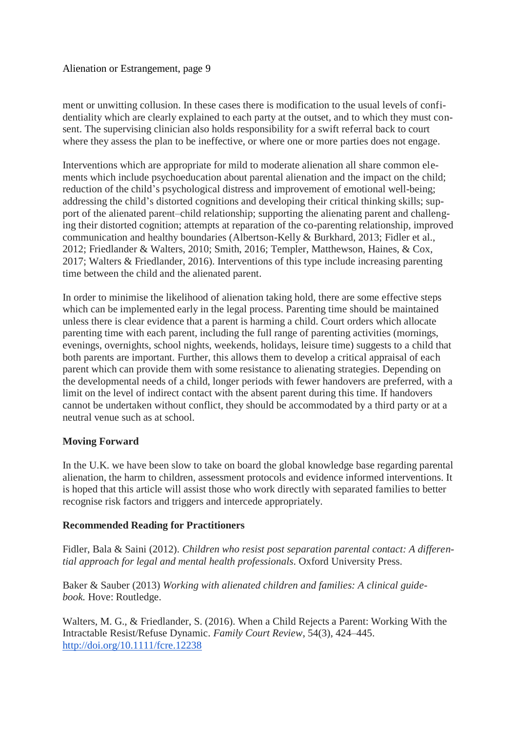ment or unwitting collusion. In these cases there is modification to the usual levels of confidentiality which are clearly explained to each party at the outset, and to which they must consent. The supervising clinician also holds responsibility for a swift referral back to court where they assess the plan to be ineffective, or where one or more parties does not engage.

Interventions which are appropriate for mild to moderate alienation all share common elements which include psychoeducation about parental alienation and the impact on the child; reduction of the child's psychological distress and improvement of emotional well-being; addressing the child's distorted cognitions and developing their critical thinking skills; support of the alienated parent–child relationship; supporting the alienating parent and challenging their distorted cognition; attempts at reparation of the co-parenting relationship, improved communication and healthy boundaries (Albertson-Kelly & Burkhard, 2013; Fidler et al., 2012; Friedlander & Walters, 2010; Smith, 2016; Templer, Matthewson, Haines, & Cox, 2017; Walters & Friedlander, 2016). Interventions of this type include increasing parenting time between the child and the alienated parent.

In order to minimise the likelihood of alienation taking hold, there are some effective steps which can be implemented early in the legal process. Parenting time should be maintained unless there is clear evidence that a parent is harming a child. Court orders which allocate parenting time with each parent, including the full range of parenting activities (mornings, evenings, overnights, school nights, weekends, holidays, leisure time) suggests to a child that both parents are important. Further, this allows them to develop a critical appraisal of each parent which can provide them with some resistance to alienating strategies. Depending on the developmental needs of a child, longer periods with fewer handovers are preferred, with a limit on the level of indirect contact with the absent parent during this time. If handovers cannot be undertaken without conflict, they should be accommodated by a third party or at a neutral venue such as at school.

# **Moving Forward**

In the U.K. we have been slow to take on board the global knowledge base regarding parental alienation, the harm to children, assessment protocols and evidence informed interventions. It is hoped that this article will assist those who work directly with separated families to better recognise risk factors and triggers and intercede appropriately.

# **Recommended Reading for Practitioners**

Fidler, Bala & Saini (2012). *Children who resist post separation parental contact: A differential approach for legal and mental health professionals*. Oxford University Press.

Baker & Sauber (2013) *Working with alienated children and families: A clinical guidebook.* Hove: Routledge.

Walters, M. G., & Friedlander, S. (2016). When a Child Rejects a Parent: Working With the Intractable Resist/Refuse Dynamic. *Family Court Review*, 54(3), 424–445. <http://doi.org/10.1111/fcre.12238>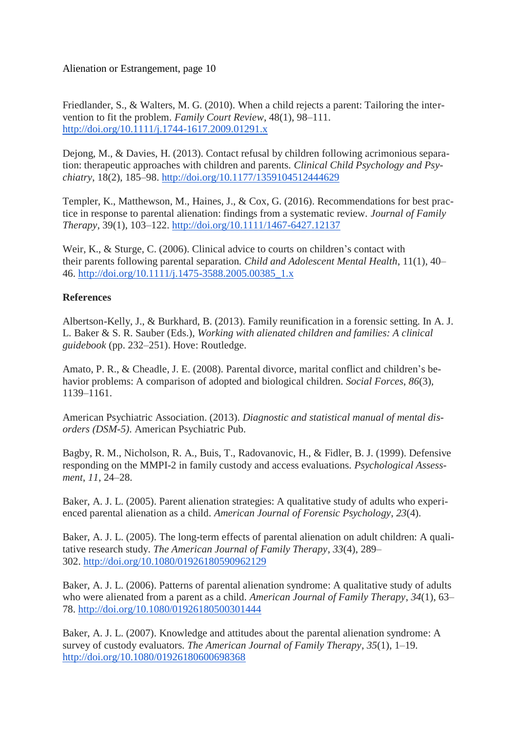Friedlander, S., & Walters, M. G. (2010). When a child rejects a parent: Tailoring the intervention to fit the problem. *Family Court Review*, 48(1), 98–111. <http://doi.org/10.1111/j.1744-1617.2009.01291.x>

Dejong, M., & Davies, H. (2013). Contact refusal by children following acrimonious separation: therapeutic approaches with children and parents. *Clinical Child Psychology and Psychiatry*, 18(2), 185–98. <http://doi.org/10.1177/1359104512444629>

Templer, K., Matthewson, M., Haines, J., & Cox, G. (2016). Recommendations for best practice in response to parental alienation: findings from a systematic review. *Journal of Family Therapy*, 39(1), 103–122. <http://doi.org/10.1111/1467-6427.12137>

Weir, K., & Sturge, C. (2006). Clinical advice to courts on children's contact with their parents following parental separation. *Child and Adolescent Mental Health*, 11(1), 40– 46. [http://doi.org/10.1111/j.1475-3588.2005.00385\\_1.x](http://doi.org/10.1111/j.1475-3588.2005.00385_1.x)

# **References**

Albertson-Kelly, J., & Burkhard, B. (2013). Family reunification in a forensic setting. In A. J. L. Baker & S. R. Sauber (Eds.), *Working with alienated children and families: A clinical guidebook* (pp. 232–251). Hove: Routledge.

Amato, P. R., & Cheadle, J. E. (2008). Parental divorce, marital conflict and children's behavior problems: A comparison of adopted and biological children. *Social Forces*, *86*(3), 1139–1161.

American Psychiatric Association. (2013). *Diagnostic and statistical manual of mental disorders (DSM-5)*. American Psychiatric Pub.

Bagby, R. M., Nicholson, R. A., Buis, T., Radovanovic, H., & Fidler, B. J. (1999). Defensive responding on the MMPI-2 in family custody and access evaluations. *Psychological Assessment*, *11*, 24–28.

Baker, A. J. L. (2005). Parent alienation strategies: A qualitative study of adults who experienced parental alienation as a child. *American Journal of Forensic Psychology*, *23*(4).

Baker, A. J. L. (2005). The long-term effects of parental alienation on adult children: A qualitative research study. *The American Journal of Family Therapy*, *33*(4), 289– 302. <http://doi.org/10.1080/01926180590962129>

Baker, A. J. L. (2006). Patterns of parental alienation syndrome: A qualitative study of adults who were alienated from a parent as a child. *American Journal of Family Therapy*, *34*(1), 63– 78. <http://doi.org/10.1080/01926180500301444>

Baker, A. J. L. (2007). Knowledge and attitudes about the parental alienation syndrome: A survey of custody evaluators. *The American Journal of Family Therapy*, *35*(1), 1–19. <http://doi.org/10.1080/01926180600698368>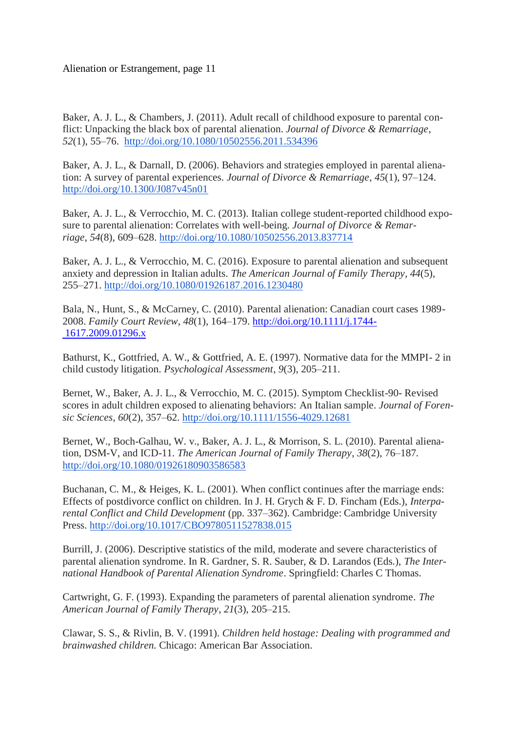Baker, A. J. L., & Chambers, J. (2011). Adult recall of childhood exposure to parental conflict: Unpacking the black box of parental alienation. *Journal of Divorce & Remarriage*, *52*(1), 55–76. <http://doi.org/10.1080/10502556.2011.534396>

Baker, A. J. L., & Darnall, D. (2006). Behaviors and strategies employed in parental alienation: A survey of parental experiences. *Journal of Divorce & Remarriage*, *45*(1), 97–124. <http://doi.org/10.1300/J087v45n01>

Baker, A. J. L., & Verrocchio, M. C. (2013). Italian college student-reported childhood exposure to parental alienation: Correlates with well-being. *Journal of Divorce & Remarriage*, *54*(8), 609–628. <http://doi.org/10.1080/10502556.2013.837714>

Baker, A. J. L., & Verrocchio, M. C. (2016). Exposure to parental alienation and subsequent anxiety and depression in Italian adults. *The American Journal of Family Therapy*, *44*(5), 255–271. <http://doi.org/10.1080/01926187.2016.1230480>

Bala, N., Hunt, S., & McCarney, C. (2010). Parental alienation: Canadian court cases 1989- 2008. *Family Court Review*, *48*(1), 164–179. [http://doi.org/10.1111/j.1744-](http://doi.org/10.1111/j.1744- 1617.2009.01296.x) [1617.2009.01296.x](http://doi.org/10.1111/j.1744- 1617.2009.01296.x)

Bathurst, K., Gottfried, A. W., & Gottfried, A. E. (1997). Normative data for the MMPI- 2 in child custody litigation. *Psychological Assessment*, *9*(3), 205–211.

Bernet, W., Baker, A. J. L., & Verrocchio, M. C. (2015). Symptom Checklist-90- Revised scores in adult children exposed to alienating behaviors: An Italian sample. *Journal of Forensic Sciences*, *60*(2), 357–62. <http://doi.org/10.1111/1556-4029.12681>

Bernet, W., Boch-Galhau, W. v., Baker, A. J. L., & Morrison, S. L. (2010). Parental alienation, DSM-V, and ICD-11. *The American Journal of Family Therapy*, *38*(2), 76–187. <http://doi.org/10.1080/01926180903586583>

Buchanan, C. M., & Heiges, K. L. (2001). When conflict continues after the marriage ends: Effects of postdivorce conflict on children. In J. H. Grych & F. D. Fincham (Eds.), *Interparental Conflict and Child Development* (pp. 337–362). Cambridge: Cambridge University Press. <http://doi.org/10.1017/CBO9780511527838.015>

Burrill, J. (2006). Descriptive statistics of the mild, moderate and severe characteristics of parental alienation syndrome. In R. Gardner, S. R. Sauber, & D. Larandos (Eds.), *The International Handbook of Parental Alienation Syndrome*. Springfield: Charles C Thomas.

Cartwright, G. F. (1993). Expanding the parameters of parental alienation syndrome. *The American Journal of Family Therapy*, *21*(3), 205–215.

Clawar, S. S., & Rivlin, B. V. (1991). *Children held hostage: Dealing with programmed and brainwashed children.* Chicago: American Bar Association.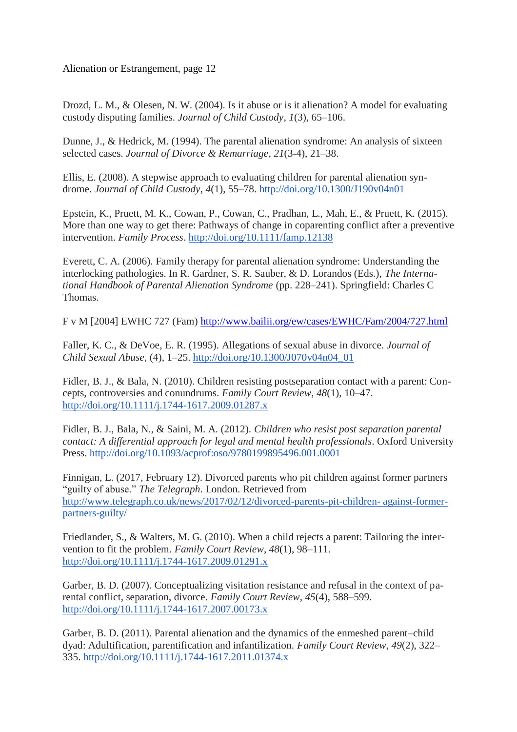Drozd, L. M., & Olesen, N. W. (2004). Is it abuse or is it alienation? A model for evaluating custody disputing families. *Journal of Child Custody*, *1*(3), 65–106.

Dunne, J., & Hedrick, M. (1994). The parental alienation syndrome: An analysis of sixteen selected cases. *Journal of Divorce & Remarriage*, *21*(3-4), 21–38.

Ellis, E. (2008). A stepwise approach to evaluating children for parental alienation syndrome. *Journal of Child Custody*, *4*(1), 55–78. <http://doi.org/10.1300/J190v04n01>

Epstein, K., Pruett, M. K., Cowan, P., Cowan, C., Pradhan, L., Mah, E., & Pruett, K. (2015). More than one way to get there: Pathways of change in coparenting conflict after a preventive intervention. *Family Process*. <http://doi.org/10.1111/famp.12138>

Everett, C. A. (2006). Family therapy for parental alienation syndrome: Understanding the interlocking pathologies. In R. Gardner, S. R. Sauber, & D. Lorandos (Eds.), *The International Handbook of Parental Alienation Syndrome* (pp. 228–241). Springfield: Charles C Thomas.

F v M [2004] EWHC 727 (Fam) <http://www.bailii.org/ew/cases/EWHC/Fam/2004/727.html>

Faller, K. C., & DeVoe, E. R. (1995). Allegations of sexual abuse in divorce. *Journal of Child Sexual Abuse*, (4), 1–25. [http://doi.org/10.1300/J070v04n04\\_01](http://doi.org/10.1300/J070v04n04_01)

Fidler, B. J., & Bala, N. (2010). Children resisting postseparation contact with a parent: Concepts, controversies and conundrums. *Family Court Review*, *48*(1), 10–47. <http://doi.org/10.1111/j.1744-1617.2009.01287.x>

Fidler, B. J., Bala, N., & Saini, M. A. (2012). *Children who resist post separation parental contact: A differential approach for legal and mental health professionals*. Oxford University Press. <http://doi.org/10.1093/acprof:oso/9780199895496.001.0001>

Finnigan, L. (2017, February 12). Divorced parents who pit children against former partners "guilty of abuse." *The Telegraph*. London. Retrieved from [http://www.telegraph.co.uk/news/2017/02/12/divorced-parents-pit-children-](http://www.telegraph.co.uk/news/2017/02/12/divorced-parents-pit-children-%0Dagainst-former-partners-guilty/) against-former[partners-guilty/](http://www.telegraph.co.uk/news/2017/02/12/divorced-parents-pit-children-%0Dagainst-former-partners-guilty/)

Friedlander, S., & Walters, M. G. (2010). When a child rejects a parent: Tailoring the intervention to fit the problem. *Family Court Review*, *48*(1), 98–111. <http://doi.org/10.1111/j.1744-1617.2009.01291.x>

Garber, B. D. (2007). Conceptualizing visitation resistance and refusal in the context of parental conflict, separation, divorce. *Family Court Review*, *45*(4), 588–599. <http://doi.org/10.1111/j.1744-1617.2007.00173.x>

Garber, B. D. (2011). Parental alienation and the dynamics of the enmeshed parent–child dyad: Adultification, parentification and infantilization. *Family Court Review*, *49*(2), 322– 335. <http://doi.org/10.1111/j.1744-1617.2011.01374.x>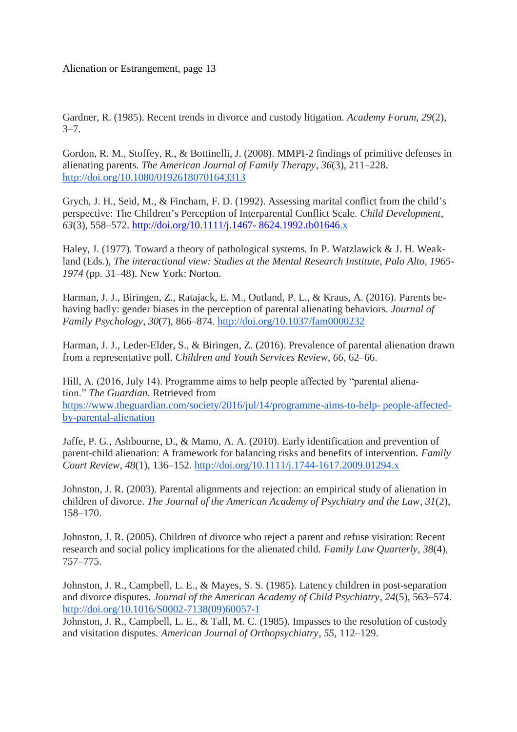Gardner, R. (1985). Recent trends in divorce and custody litigation. *Academy Forum*, *29*(2),  $3 - 7$ .

Gordon, R. M., Stoffey, R., & Bottinelli, J. (2008). MMPI-2 findings of primitive defenses in alienating parents. *The American Journal of Family Therapy*, *36*(3), 211–228. <http://doi.org/10.1080/01926180701643313>

Grych, J. H., Seid, M., & Fincham, F. D. (1992). Assessing marital conflict from the child's perspective: The Children's Perception of Interparental Conflict Scale. *Child Development*, *63*(3), 558–572. [http://doi.org/10.1111/j.1467-](http://doi.org/10.1111/j.1467- 8624.1992.tb01646) 8624.1992.tb01646.x

Haley, J. (1977). Toward a theory of pathological systems. In P. Watzlawick & J. H. Weakland (Eds.), *The interactional view: Studies at the Mental Research Institute, Palo Alto, 1965- 1974* (pp. 31–48). New York: Norton.

Harman, J. J., Biringen, Z., Ratajack, E. M., Outland, P. L., & Kraus, A. (2016). Parents behaving badly: gender biases in the perception of parental alienating behaviors. *Journal of Family Psychology*, *30*(7), 866–874. <http://doi.org/10.1037/fam0000232>

Harman, J. J., Leder-Elder, S., & Biringen, Z. (2016). Prevalence of parental alienation drawn from a representative poll. *Children and Youth Services Review*, *66*, 62–66.

Hill, A. (2016, July 14). Programme aims to help people affected by "parental alienation." *The Guardian*. Retrieved from [https://www.theguardian.com/society/2016/jul/14/programme-aims-to-help-](https://www.theguardian.com/society/2016/jul/14/programme-aims-to-help-%0Dpeople-affected-by-parental-alienation) people-affected[by-parental-alienation](https://www.theguardian.com/society/2016/jul/14/programme-aims-to-help-%0Dpeople-affected-by-parental-alienation)

Jaffe, P. G., Ashbourne, D., & Mamo, A. A. (2010). Early identification and prevention of parent-child alienation: A framework for balancing risks and benefits of intervention. *Family Court Review*, *48*(1), 136–152. <http://doi.org/10.1111/j.1744-1617.2009.01294.x>

Johnston, J. R. (2003). Parental alignments and rejection: an empirical study of alienation in children of divorce. *The Journal of the American Academy of Psychiatry and the Law*, *31*(2), 158–170.

Johnston, J. R. (2005). Children of divorce who reject a parent and refuse visitation: Recent research and social policy implications for the alienated child. *Family Law Quarterly*, *38*(4), 757–775.

Johnston, J. R., Campbell, L. E., & Mayes, S. S. (1985). Latency children in post-separation and divorce disputes. *Journal of the American Academy of Child Psychiatry*, *24*(5), 563–574. [http://doi.org/10.1016/S0002-7138\(09\)60057-1](http://doi.org/10.1016/S0002-7138(09)60057-1)

Johnston, J. R., Campbell, L. E., & Tall, M. C. (1985). Impasses to the resolution of custody and visitation disputes. *American Journal of Orthopsychiatry*, *55*, 112–129.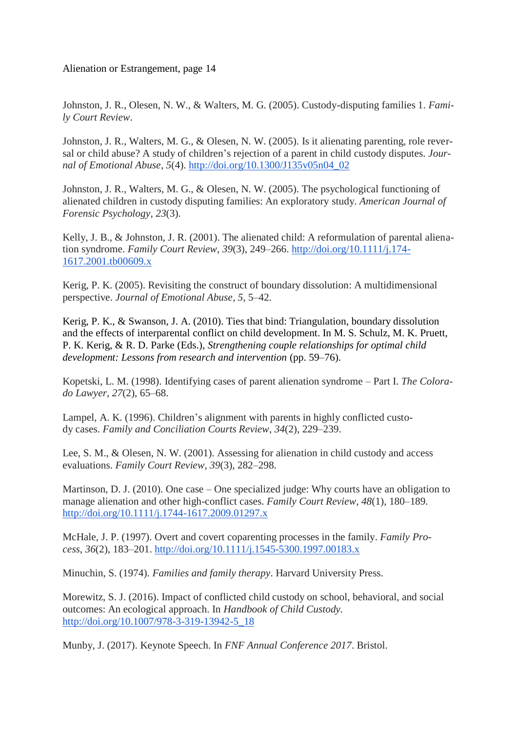Johnston, J. R., Olesen, N. W., & Walters, M. G. (2005). Custody-disputing families 1. *Family Court Review*.

Johnston, J. R., Walters, M. G., & Olesen, N. W. (2005). Is it alienating parenting, role reversal or child abuse? A study of children's rejection of a parent in child custody disputes. *Journal of Emotional Abuse*, *5*(4). [http://doi.org/10.1300/J135v05n04\\_02](http://doi.org/10.1300/J135v05n04_02)

Johnston, J. R., Walters, M. G., & Olesen, N. W. (2005). The psychological functioning of alienated children in custody disputing families: An exploratory study. *American Journal of Forensic Psychology*, *23*(3).

Kelly, J. B., & Johnston, J. R. (2001). The alienated child: A reformulation of parental alienation syndrome. *Family Court Review*, *39*(3), 249–266. [http://doi.org/10.1111/j.174-](http://doi.org/10.1111/j.174-1617.2001.tb00609.x) [1617.2001.tb00609.x](http://doi.org/10.1111/j.174-1617.2001.tb00609.x)

Kerig, P. K. (2005). Revisiting the construct of boundary dissolution: A multidimensional perspective. *Journal of Emotional Abuse*, *5*, 5–42.

Kerig, P. K., & Swanson, J. A. (2010). Ties that bind: Triangulation, boundary dissolution and the effects of interparental conflict on child development. In M. S. Schulz, M. K. Pruett, P. K. Kerig, & R. D. Parke (Eds.), *Strengthening couple relationships for optimal child development: Lessons from research and intervention* (pp. 59–76).

Kopetski, L. M. (1998). Identifying cases of parent alienation syndrome – Part I. *The Colorado Lawyer*, *27*(2), 65–68.

Lampel, A. K. (1996). Children's alignment with parents in highly conflicted custody cases. *Family and Conciliation Courts Review*, *34*(2), 229–239.

Lee, S. M., & Olesen, N. W. (2001). Assessing for alienation in child custody and access evaluations. *Family Court Review*, *39*(3), 282–298.

Martinson, D. J. (2010). One case – One specialized judge: Why courts have an obligation to manage alienation and other high-conflict cases. *Family Court Review*, *48*(1), 180–189. <http://doi.org/10.1111/j.1744-1617.2009.01297.x>

McHale, J. P. (1997). Overt and covert coparenting processes in the family. *Family Process*, *36*(2), 183–201. <http://doi.org/10.1111/j.1545-5300.1997.00183.x>

Minuchin, S. (1974). *Families and family therapy*. Harvard University Press.

Morewitz, S. J. (2016). Impact of conflicted child custody on school, behavioral, and social outcomes: An ecological approach. In *Handbook of Child Custody.*  [http://doi.org/10.1007/978-3-319-13942-5\\_18](http://doi.org/10.1007/978-3-319-13942-5_18)

Munby, J. (2017). Keynote Speech. In *FNF Annual Conference 2017*. Bristol.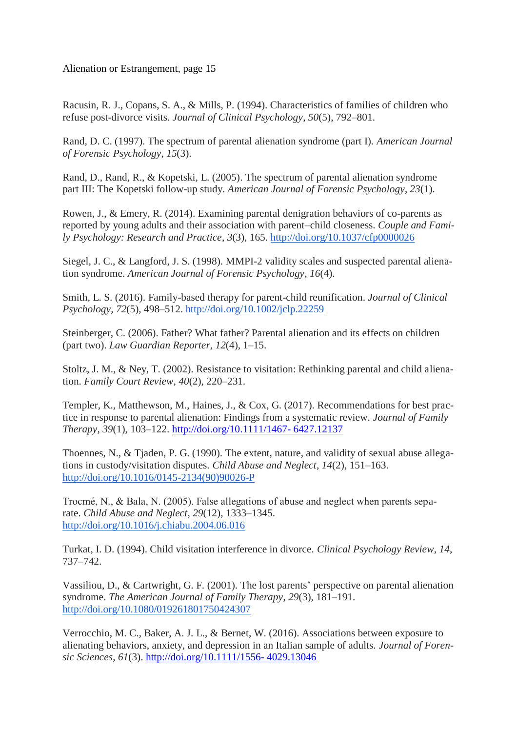Racusin, R. J., Copans, S. A., & Mills, P. (1994). Characteristics of families of children who refuse post-divorce visits. *Journal of Clinical Psychology*, *50*(5), 792–801.

Rand, D. C. (1997). The spectrum of parental alienation syndrome (part I). *American Journal of Forensic Psychology*, *15*(3).

Rand, D., Rand, R., & Kopetski, L. (2005). The spectrum of parental alienation syndrome part III: The Kopetski follow-up study. *American Journal of Forensic Psychology*, *23*(1).

Rowen, J., & Emery, R. (2014). Examining parental denigration behaviors of co-parents as reported by young adults and their association with parent–child closeness. *Couple and Family Psychology: Research and Practice*, *3*(3), 165. <http://doi.org/10.1037/cfp0000026>

Siegel, J. C., & Langford, J. S. (1998). MMPI-2 validity scales and suspected parental alienation syndrome. *American Journal of Forensic Psychology*, *16*(4).

Smith, L. S. (2016). Family-based therapy for parent-child reunification. *Journal of Clinical Psychology*, *72*(5), 498–512. <http://doi.org/10.1002/jclp.22259>

Steinberger, C. (2006). Father? What father? Parental alienation and its effects on children (part two). *Law Guardian Reporter*, *12*(4), 1–15.

Stoltz, J. M., & Ney, T. (2002). Resistance to visitation: Rethinking parental and child alienation. *Family Court Review*, *40*(2), 220–231.

Templer, K., Matthewson, M., Haines, J., & Cox, G. (2017). Recommendations for best practice in response to parental alienation: Findings from a systematic review. *Journal of Family Therapy*, *39*(1), 103–122. [http://doi.org/10.1111/1467-](http://doi.org/10.1111/1467- 6427.12137) 6427.12137

Thoennes, N., & Tjaden, P. G. (1990). The extent, nature, and validity of sexual abuse allegations in custody/visitation disputes. *Child Abuse and Neglect*, *14*(2), 151–163. [http://doi.org/10.1016/0145-2134\(90\)90026-P](http://doi.org/10.1016/0145-2134(90)90026-P)

Trocmé, N., & Bala, N. (2005). False allegations of abuse and neglect when parents separate. *Child Abuse and Neglect*, *29*(12), 1333–1345. <http://doi.org/10.1016/j.chiabu.2004.06.016>

Turkat, I. D. (1994). Child visitation interference in divorce. *Clinical Psychology Review*, *14*, 737–742.

Vassiliou, D., & Cartwright, G. F. (2001). The lost parents' perspective on parental alienation syndrome. *The American Journal of Family Therapy*, *29*(3), 181–191. <http://doi.org/10.1080/019261801750424307>

Verrocchio, M. C., Baker, A. J. L., & Bernet, W. (2016). Associations between exposure to alienating behaviors, anxiety, and depression in an Italian sample of adults. *Journal of Forensic Sciences*, *61*(3). [http://doi.org/10.1111/1556-](http://doi.org/10.1111/1556- 4029.13046) 4029.13046